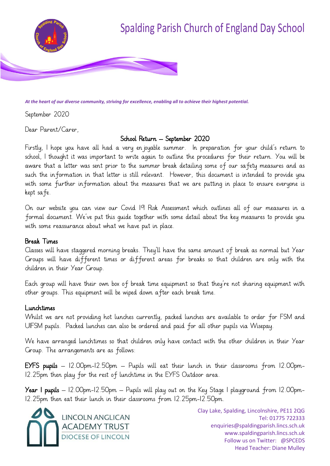

*At the heart of our diverse community, striving for excellence, enabling all to achieve their highest potential.*

September 2020

Dear Parent/Carer,

#### School Return – September 2020

Firstly, I hope you have all had a very enjoyable summer. In preparation for your child's return to school, I thought it was important to write again to outline the procedures for their return. You will be aware that a letter was sent prior to the summer break detailing some of our safety measures and as such the information in that letter is still relevant. However, this document is intended to provide you with some further information about the measures that we are putting in place to ensure everyone is kept safe.

On our website you can view our Covid 19 Risk Assessment which outlines all of our measures in a formal document. We've put this guide together with some detail about the key measures to provide you with some reassurance about what we have put in place.

#### Break Times

Classes will have staggered morning breaks. They'll have the same amount of break as normal but Year Groups will have different times or different areas for breaks so that children are only with the children in their Year Group.

Each group will have their own box of break time equipment so that they're not sharing equipment with other groups. This equipment will be wiped down after each break time.

#### Lunchtimes

Whilst we are not providing hot lunches currently, packed lunches are available to order for FSM and UIFSM pupils. Packed lunches can also be ordered and paid for all other pupils via Wisepay.

We have arranged lunchtimes so that children only have contact with the other children in their Year Group. The arrangements are as follows:

**EYFS pupils**  $-$  12.00pm-12.50pm  $-$  Pupils will eat their lunch in their classrooms from 12.00pm-12.25pm then play for the rest of lunchtime in the EYFS Outdoor area.

**Year I pupils**  $-12.00$ pm-12.50pm  $-$  Pupils will play out on the Key Stage I playground from 12.00pm-12.25pm then eat their lunch in their classrooms from 12.25pm-12.50pm.

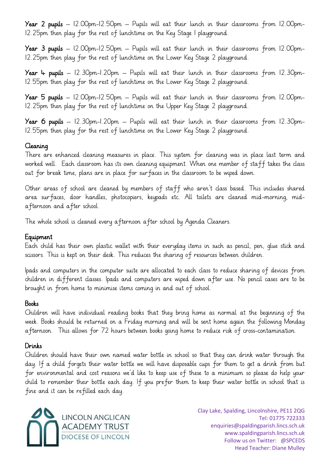Year 2 pupils  $-$  12.00pm-12.50pm  $-$  Pupils will eat their lunch in their classrooms from 12.00pm-12.25pm then play for the rest of lunchtime on the Key Stage 1 playground.

Year 3 pupils  $-$  12.00pm-12.50pm  $-$  Pupils will eat their lunch in their classrooms from 12.00pm-12.25pm then play for the rest of lunchtime on the Lower Key Stage 2 playground.

**Year 4 pupils**  $-$  12.30pm-1.20pm  $-$  Pupils will eat their lunch in their classrooms from 12.30pm-12.55pm then play for the rest of lunchtime on the Lower Key Stage 2 playground.

Year 5 pupils – 12.00pm-12.50pm – Pupils will eat their lunch in their classrooms from 12.00pm-12.25pm then play for the rest of lunchtime on the Upper Key Stage 2 playground.

**Year 6 pupils**  $-$  12.30pm-1.20pm  $-$  Pupils will eat their lunch in their classrooms from 12.30pm-12.55pm then play for the rest of lunchtime on the Lower Key Stage 2 playground.

#### Cleaning

There are enhanced cleaning measures in place. This system for cleaning was in place last term and worked well. Each classroom has its own cleaning equipment. When one member of staff takes the class out for break time, plans are in place for surfaces in the classroom to be wiped down.

Other areas of school are cleaned by members of staff who aren't class based. This includes shared area surfaces, door handles, photocopiers, keypads etc. All toilets are cleaned mid-morning, midafternoon and after school.

The whole school is cleaned every afternoon after school by Agenda Cleaners.

#### Equipment

Each child has their own plastic wallet with their everyday items in such as pencil, pen, glue stick and scissors. This is kept on their desk. This reduces the sharing of resources between children.

Ipads and computers in the computer suite are allocated to each class to reduce sharing of devices from children in different classes. Ipads and computers are wiped down after use. No pencil cases are to be brought in from home to minimise items coming in and out of school.

#### Books

Children will have individual reading books that they bring home as normal at the beginning of the week. Books should be returned on a Friday morning and will be sent home again the following Monday afternoon. This allows for 72 hours between books going home to reduce risk of cross-contamination.

#### Drinks

Children should have their own named water bottle in school so that they can drink water through the day. If a child forgets their water bottle we will have disposable cups for them to get a drink from but for environmental and cost reasons we'd like to keep use of these to a minimum so please do help your child to remember their bottle each day. If you prefer them to keep their water bottle in school that is fine and it can be refilled each day.

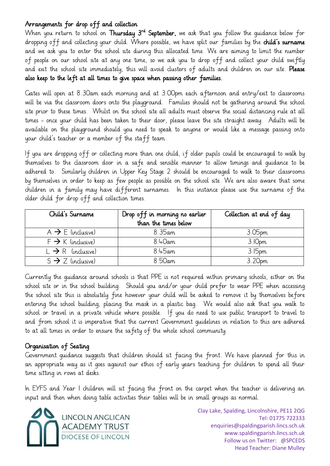#### Arrangements for drop off and collection

When you return to school on **Thursday 3<sup>rd</sup> September,** we ask that you follow the guidance below for dropping off and collecting your child. Where possible, we have split our families by the child's surname and we ask you to enter the school site during this allocated time. We are aiming to limit the number of people on our school site at any one time, so we ask you to drop off and collect your child swiftly and exit the school site immediately, this will avoid clusters of adults and children on our site. Please also keep to the left at all times to give space when passing other families.

Gates will open at 8.30am each morning and at 3.00pm each afternoon and entry/exit to classrooms will be via the classroom doors onto the playground. Families should not be gathering around the school site prior to these times. Whilst on the school site all adults must observe the social distancing rule at all times - once your child has been taken to their door, please leave the site straight away. Adults will be available on the playground should you need to speak to anyone or would like a message passing onto your child's teacher or a member of the staff team.

If you are dropping off or collecting more than one child, if older pupils could be encouraged to walk by themselves to the classroom door in a safe and sensible manner to allow timings and guidance to be adhered to. Similarly children in Upper Key Stage 2 should be encouraged to walk to their classrooms by themselves in order to keep as few people as possible on the school site. We are also aware that some children in a family may have different surnames. In this instance please use the surname of the older child for drop off and collection times.

| Child's Surname               | Drop off in morning no earlier<br>than the times below | Collection at end of day |
|-------------------------------|--------------------------------------------------------|--------------------------|
| $A \rightarrow E$ (inclusive) | 8.35am                                                 | 3.05 <sub>pm</sub>       |
| $F \rightarrow K$ (inclusive) | $8:4$ Oam                                              | 3.10pm                   |
| $L \rightarrow R$ (inclusive) | $8:45$ am                                              | 3.15 <sub>pm</sub>       |
| $S \rightarrow Z$ (inclusive) | $8:50$ am                                              | 3.20pm                   |

Currently the guidance around schools is that PPE is not required within primary schools, either on the school site or in the school building. Should you and/or your child prefer to wear PPE when accessing the school site this is absolutely fine however your child will be asked to remove it by themselves before entering the school building, placing the mask in a plastic bag. We would also ask that you walk to school or travel in a private vehicle where possible. If you do need to use public transport to travel to and from school it is imperative that the current Government guidelines in relation to this are adhered to at all times in order to ensure the safety of the whole school community.

#### Organisation of Seating

Government guidance suggests that children should sit facing the front. We have planned for this in an appropriate way as it goes against our ethos of early years teaching for children to spend all their time sitting in rows at desks.

In EYFS and Year 1 children will sit facing the front on the carpet when the teacher is delivering an input and then when doing table activities their tables will be in small groups as normal.

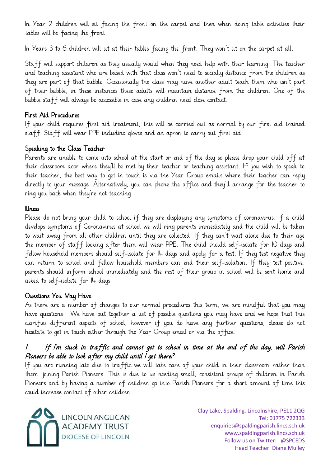In Year 2 children will sit facing the front on the carpet and then when doing table activities their tables will be facing the front.

In Years 3 to 6 children will sit at their tables facing the front. They won't sit on the carpet at all.

Staff will support children as they usually would when they need help with their learning. The teacher and teaching assistant who are based with that class won't need to socially distance from the children as they are part of that bubble. Occasionally the class may have another adult teach them who isn't part of their bubble, in these instances these adults will maintain distance from the children. One of the bubble staff will always be accessible in case any children need close contact.

#### First Aid Procedures

If your child requires first aid treatment, this will be carried out as normal by our first aid trained staff. Staff will wear PPE including gloves and an apron to carry out first aid.

#### Speaking to the Class Teacher

Parents are unable to come into school at the start or end of the day so please drop your child off at their classroom door where they'll be met by their teacher or teaching assistant. If you wish to speak to their teacher, the best way to get in touch is via the Year Group emails where their teacher can reply directly to your message. Alternatively, you can phone the office and they'll arrange for the teacher to ring you back when they're not teaching.

#### Illness

Please do not bring your child to school if they are displaying any symptoms of coronavirus. If a child develops symptoms of Coronavirus at school we will ring parents immediately and the child will be taken to wait away from all other children until they are collected. If they can't wait alone due to their age the member of staff looking after them will wear PPE. The child should self-isolate for 10 days and fellow household members should self-isolate for 14 days and apply for a test. If they test negative they can return to school and fellow household members can end their self-isolation. If they test positive, parents should inform school immediately and the rest of their group in school will be sent home and asked to self-isolate for 14 days

### Questions You May Have

As there are a number of changes to our normal procedures this term, we are mindful that you may have questions. We have put together a list of possible questions you may have and we hope that this clarifies different aspects of school, however if you do have any further questions, please do not hesitate to get in touch either through the Year Group email or via the office.

## 1. If I'm stuck in traffic and cannot get to school in time at the end of the day, will Parish Pioneers be able to look after my child until I get there?

If you are running late due to traffic we will take care of your child in their classroom rather than them joining Parish Pioneers. This is due to us needing small, consistent groups of children in Parish Pioneers and by having a number of children go into Parish Pioneers for a short amount of time this could increase contact of other children.

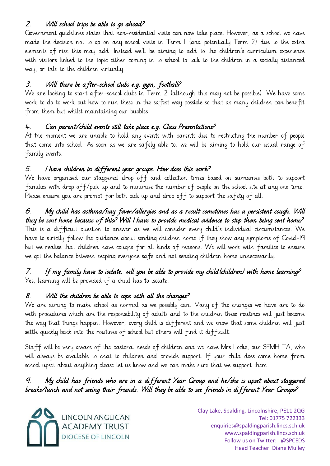## 2. Will school trips be able to go ahead?

Government guidelines states that non-residential visits can now take place. However, as a school we have made the decision not to go on any school visits in Term 1 (and potentially Term 2) due to the extra elements of risk this may add. Instead we'll be aiming to add to the children's curriculum experience with visitors linked to the topic either coming in to school to talk to the children in a socially distanced way, or talk to the children virtually.

## 3. Will there be after-school clubs e.g. gym, football?

We are looking to start after-school clubs in Term 2 (although this may not be possible). We have some work to do to work out how to run these in the safest way possible so that as many children can benefit from them but whilst maintaining our bubbles.

## 4. Can parent/child events still take place e.g. Class Presentations?

At the moment we are unable to hold any events with parents due to restricting the number of people that come into school. As soon as we are safely able to, we will be aiming to hold our usual range of family events.

## 5. I have children in different year groups. How does this work?

We have organised our staggered drop off and collection times based on surnames both to support families with drop off/pick up and to minimise the number of people on the school site at any one time. Please ensure you are prompt for both pick up and drop off to support the safety of all.

## 6. My child has asthma/hay fever/allergies and as a result sometimes has a persistent cough. Will they be sent home because of this? Will I have to provide medical evidence to stop them being sent home?

This is a difficult question to answer as we will consider every child's individual circumstances. We have to strictly follow the guidance about sending children home if they show any symptoms of Covid-19 but we realise that children have coughs for all kinds of reasons. We will work with families to ensure we get the balance between keeping everyone safe and not sending children home unnecessarily.

#### 7. If my family have to isolate, will you be able to provide my child(children) with home learning? Yes, learning will be provided if a child has to isolate.

# 8. Will the children be able to cope with all the changes?

We are aiming to make school as normal as we possibly can. Many of the changes we have are to do with procedures which are the responsibility of adults and to the children these routines will just become the way that things happen. However, every child is different and we know that some children will just settle quickly back into the routines of school but others will find it difficult.

Staff will be very aware of the pastoral needs of children and we have Mrs Locke, our SEMH TA, who will always be available to chat to children and provide support. If your child does come home from school upset about anything please let us know and we can make sure that we support them.

## 9. My child has friends who are in a different Year Group and he/she is upset about staggered breaks/lunch and not seeing their friends. Will they be able to see friends in different Year Groups?

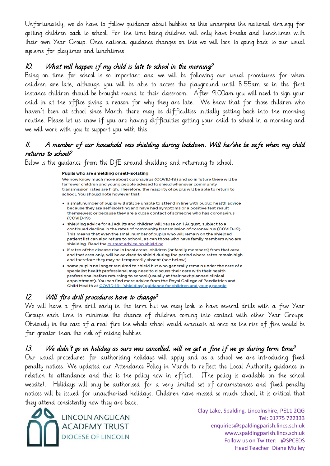Unfortunately, we do have to follow guidance about bubbles as this underpins the national strategy for getting children back to school. For the time being children will only have breaks and lunchtimes with their own Year Group. Once national guidance changes on this we will look to going back to our usual systems for playtimes and lunchtimes.

#### 10. What will happen if my child is late to school in the morning?

Being on time for school is so important and we will be following our usual procedures for when children are late, although you will be able to access the playground until 8.55am so in the first instance children should be brought round to their classroom. After 9.00am you will need to sign your child in at the office giving a reason for why they are late. We know that for those children who haven't been at school since March there may be difficulties initially getting back into the morning routine. Please let us know if you are having difficulties getting your child to school in a morning and we will work with you to support you with this.

#### 11. A member of our household was shielding during lockdown. Will he/she be safe when my child returns to school?

Below is the guidance from the DfE around shielding and returning to school.

#### Pupils who are shielding or self-isolating

We now know much more about coronavirus (COVID-19) and so in future there will be far fewer children and young people advised to shield whenever community transmission rates are high. Therefore, the majority of pupils will be able to return to school. You should note however that:

- a small number of pupils will still be unable to attend in line with public health advice because they are self-isolating and have had symptoms or a positive test result themselves: or because they are a close contact of someone who has coronavirus  $(COVID-19)$
- shielding advice for all adults and children will pause on 1 August, subject to a continued decline in the rates of community transmission of coronavirus (COVID-19). This means that even the small number of pupils who will remain on the shielded patient list can also return to school, as can those who have family members who are shielding. Read the current advice on shielding
- if rates of the disease rise in local areas, children (or family members) from that area, and that area only, will be advised to shield during the period where rates remain high and therefore they may be temporarily absent (see below).
- some pupils no longer required to shield but who generally remain under the care of a specialist health professional may need to discuss their care with their health professional before returning to school (usually at their next planned clinical appointment). You can find more advice from the Royal College of Paediatrics and Child Health at COVID-19 - 'shielding' guidance for children and young people

### 12. Will fire drill procedures have to change?

We will have a fire drill early in the term but we may look to have several drills with a few Year Groups each time to minimise the chance of children coming into contact with other Year Groups. Obviously in the case of a real fire the whole school would evacuate at once as the risk of fire would be far greater than the risk of mixing bubbles.

### 13. We didn't go on holiday as ours was cancelled, will we get a fine if we go during term time?

Our usual procedures for authorising holidays will apply and as a school we are introducing fixed penalty notices. We updated our Attendance Policy in March to reflect the Local Authority guidance in relation to attendance and this is the policy now in effect. (The policy is available on the school website). Holidays will only be authorised for a very limited set of circumstances and fixed penalty notices will be issued for unauthorised holidays. Children have missed so much school, it is critical that they attend consistently now they are back.